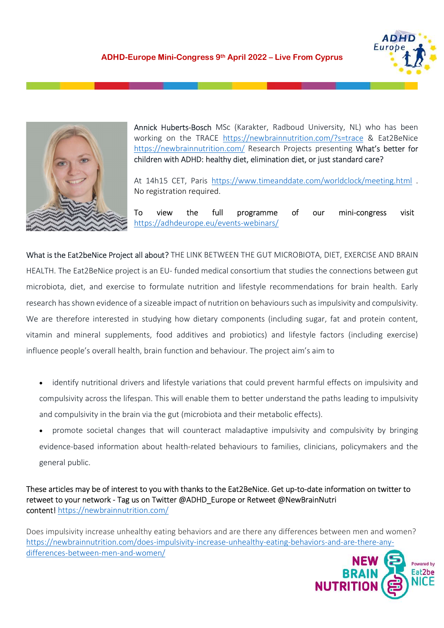



 Annick Huberts-Bosch MSc (Karakter, Radboud University, NL) who has been working on the TRACE https://newbrainnutrition.com/?s=trace & Eat2BeNice https://newbrainnutrition.com/ Research Projects presenting What's better for children with ADHD: healthy diet, elimination diet, or just standard care?

At 14h15 CET, Paris https://www.timeanddate.com/worldclock/meeting.html .<br>No registration required.

To view the full programme of our mini-congress visit https://adhdeurope.eu/events-webinars/<br>What is the Eat2beNice Project all about? THE LINK BETWEEN THE GUT MICROBIOTA, DIET, EXERCISE AND BRAIN

HEALTH. The Eat2BeNice project is an EU- funded medical consortium that studies the connections between gut microbiota, diet, and exercise to formulate nutrition and lifestyle recommendations for brain health. Early research has shown evidence of a sizeable impact of nutrition on behaviours such as impulsivity and compulsivity. We are therefore interested in studying how dietary components (including sugar, fat and protein content, vitamin and mineral supplements, food additives and probiotics) and lifestyle factors (including exercise) influence people's overall health, brain function and behaviour. The project aim's aim to

- identify nutritional drivers and lifestyle variations that could prevent harmful effects on impulsivity and compulsivity across the lifespan. This will enable them to better understand the paths leading to impulsivity and compulsivity in the brain via the gut (microbiota and their metabolic effects).
- promote societal changes that will counteract maladaptive impulsivity and compulsivity by bringing evidence-based information about health-related behaviours to families, clinicians, policymakers and the general public.

These articles may be of interest to you with thanks to the Eat2BeNice. Get up-to-date information on twitter to retweet to your network - Tag us on Twitter @ADHD\_Europe or Retweet @NewBrainNutri content! https://newbrainnutrition.com/<br>Does impulsivity increase unhealthy eating behaviors and are there any differences between men and women?

https://newbrainnutrition.com/does-impulsivity-increase-unhealthy-eating-behaviors-and-are-there-anydifferences-between-men-and-women/

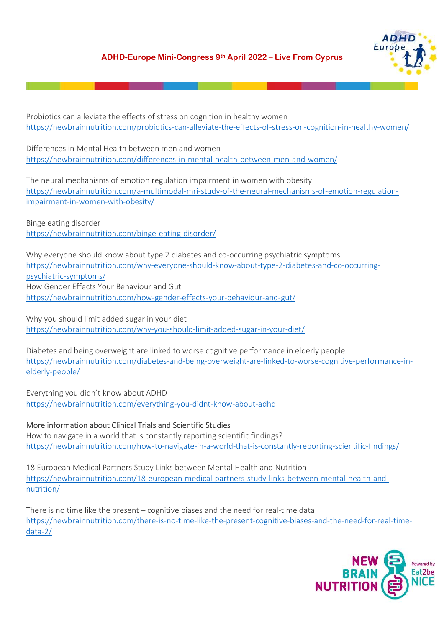

Probiotics can alleviate the effects of stress on cognition in healthy women https://newbrainnutrition.com/probiotics-can-alleviate-the-effects-of-stress-on-cognition-in-healthy-women/

Differences in Mental Health between men and women https://newbrainnutrition.com/differences-in-mental-health-between-men-and-women/

The neural mechanisms of emotion regulation impairment in women with obesity https://newbrainnutrition.com/a-multimodal-mri-study-of-the-neural-mechanisms-of-emotion-regulationimpairment-in-women-with-obesity/

Binge eating disorder https://newbrainnutrition.com/binge-eating-disorder/

Why everyone should know about type 2 diabetes and co-occurring psychiatric symptoms https://newbrainnutrition.com/why-everyone-should-know-about-type-2-diabetes-and-co-occurringpsychiatric-symptoms/ How Gender Effects Your Behaviour and Gut https://newbrainnutrition.com/how-gender-effects-your-behaviour-and-gut/

Why you should limit added sugar in your diet https://newbrainnutrition.com/why-you-should-limit-added-sugar-in-your-diet/

Diabetes and being overweight are linked to worse cognitive performance in elderly people https://newbrainnutrition.com/diabetes-and-being-overweight-are-linked-to-worse-cognitive-performance-inelderly-people/

Everything you didn't know about ADHD https://newbrainnutrition.com/everything-you-didnt-know-about-adhd

## More information about Clinical Trials and Scientific Studies

How to navigate in a world that is constantly reporting scientific findings? https://newbrainnutrition.com/how-to-navigate-in-a-world-that-is-constantly-reporting-scientific-findings/

18 European Medical Partners Study Links between Mental Health and Nutrition https://newbrainnutrition.com/18-european-medical-partners-study-links-between-mental-health-andnutrition/

There is no time like the present – cognitive biases and the need for real-time data https://newbrainnutrition.com/there-is-no-time-like-the-present-cognitive-biases-and-the-need-for-real-timedata-2/